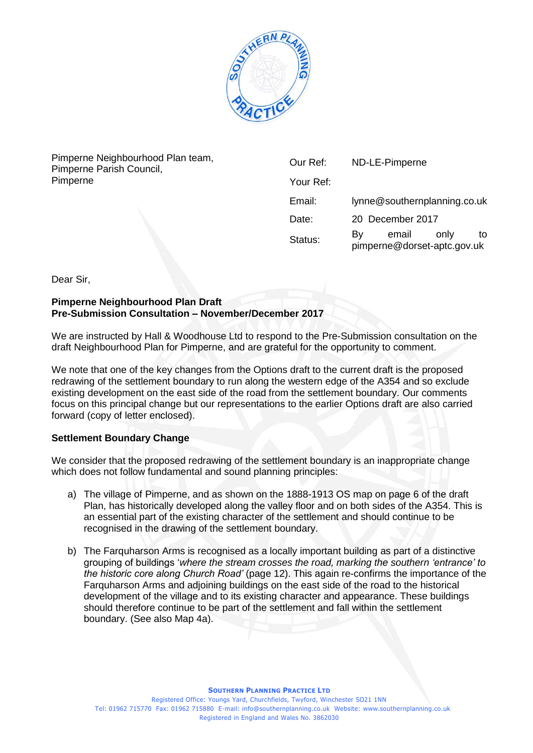

Pimperne Neighbourhood Plan team, Pimperne Parish Council, Pimperne

| Our Ref:  | ND-LE-Pimperne                                     |    |
|-----------|----------------------------------------------------|----|
| Your Ref: |                                                    |    |
| Email:    | lynne@southernplanning.co.uk                       |    |
| Date:     | 20 December 2017                                   |    |
| Status:   | email<br>only<br>B٧<br>pimperne@dorset-aptc.gov.uk | to |

Dear Sir,

#### **Pimperne Neighbourhood Plan Draft Pre-Submission Consultation – November/December 2017**

We are instructed by Hall & Woodhouse Ltd to respond to the Pre-Submission consultation on the draft Neighbourhood Plan for Pimperne, and are grateful for the opportunity to comment.

We note that one of the key changes from the Options draft to the current draft is the proposed redrawing of the settlement boundary to run along the western edge of the A354 and so exclude existing development on the east side of the road from the settlement boundary. Our comments focus on this principal change but our representations to the earlier Options draft are also carried forward (copy of letter enclosed).

# **Settlement Boundary Change**

We consider that the proposed redrawing of the settlement boundary is an inappropriate change which does not follow fundamental and sound planning principles:

- a) The village of Pimperne, and as shown on the 1888-1913 OS map on page 6 of the draft Plan, has historically developed along the valley floor and on both sides of the A354. This is an essential part of the existing character of the settlement and should continue to be recognised in the drawing of the settlement boundary.
- b) The Farquharson Arms is recognised as a locally important building as part of a distinctive grouping of buildings '*where the stream crosses the road, marking the southern 'entrance' to the historic core along Church Road'* (page 12). This again re-confirms the importance of the Farquharson Arms and adjoining buildings on the east side of the road to the historical development of the village and to its existing character and appearance. These buildings should therefore continue to be part of the settlement and fall within the settlement boundary. (See also Map 4a).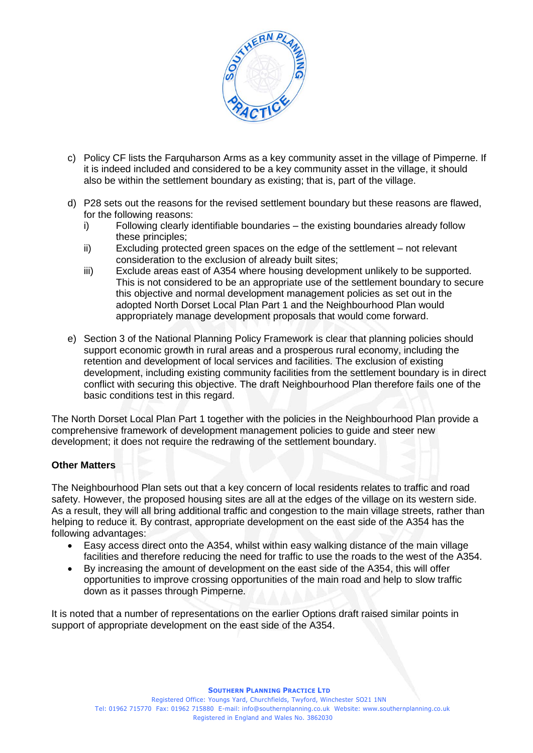

- c) Policy CF lists the Farquharson Arms as a key community asset in the village of Pimperne. If it is indeed included and considered to be a key community asset in the village, it should also be within the settlement boundary as existing; that is, part of the village.
- d) P28 sets out the reasons for the revised settlement boundary but these reasons are flawed, for the following reasons:
	- i) Following clearly identifiable boundaries the existing boundaries already follow these principles;
	- ii) Excluding protected green spaces on the edge of the settlement not relevant consideration to the exclusion of already built sites;
	- iii) Exclude areas east of A354 where housing development unlikely to be supported. This is not considered to be an appropriate use of the settlement boundary to secure this objective and normal development management policies as set out in the adopted North Dorset Local Plan Part 1 and the Neighbourhood Plan would appropriately manage development proposals that would come forward.
- e) Section 3 of the National Planning Policy Framework is clear that planning policies should support economic growth in rural areas and a prosperous rural economy, including the retention and development of local services and facilities. The exclusion of existing development, including existing community facilities from the settlement boundary is in direct conflict with securing this objective. The draft Neighbourhood Plan therefore fails one of the basic conditions test in this regard.

The North Dorset Local Plan Part 1 together with the policies in the Neighbourhood Plan provide a comprehensive framework of development management policies to guide and steer new development; it does not require the redrawing of the settlement boundary.

## **Other Matters**

The Neighbourhood Plan sets out that a key concern of local residents relates to traffic and road safety. However, the proposed housing sites are all at the edges of the village on its western side. As a result, they will all bring additional traffic and congestion to the main village streets, rather than helping to reduce it. By contrast, appropriate development on the east side of the A354 has the following advantages:

- Easy access direct onto the A354, whilst within easy walking distance of the main village facilities and therefore reducing the need for traffic to use the roads to the west of the A354.
- By increasing the amount of development on the east side of the A354, this will offer opportunities to improve crossing opportunities of the main road and help to slow traffic down as it passes through Pimperne.

It is noted that a number of representations on the earlier Options draft raised similar points in support of appropriate development on the east side of the A354.